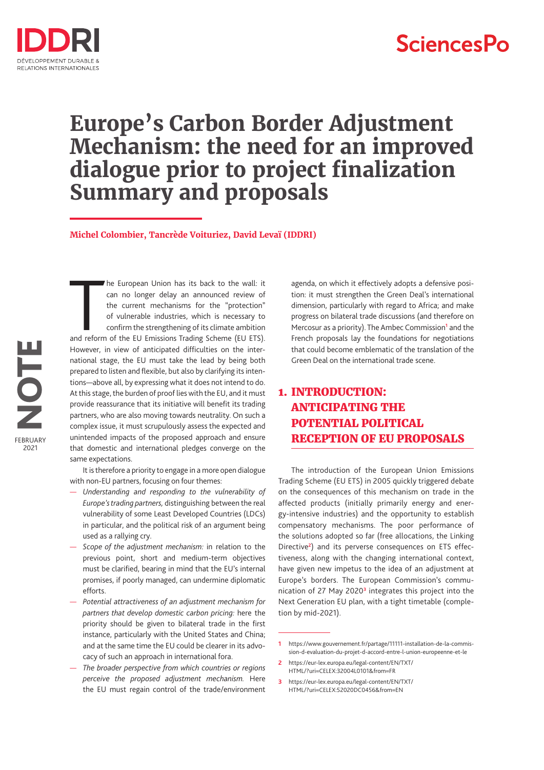

# **SciencesPo**

# **Europe's Carbon Border Adjustment Mechanism: the need for an improved dialogue prior to project finalization Summary and proposals**

**Michel Colombier, Tancrède Voituriez, David Levaï (IDDRI)**

The European Union has its back to the wall: it<br>
can no longer delay an announced review of<br>
the current mechanisms for the "protection"<br>
of vulnerable industries, which is necessary to<br>
confirm the strengthening of its cl he European Union has its back to the wall: it can no longer delay an announced review of the current mechanisms for the "protection" of vulnerable industries, which is necessary to confirm the strengthening of its climate ambition However, in view of anticipated difficulties on the international stage, the EU must take the lead by being both prepared to listen and flexible, but also by clarifying its intentions—above all, by expressing what it does not intend to do. At this stage, the burden of proof lies with the EU, and it must provide reassurance that its initiative will benefit its trading partners, who are also moving towards neutrality. On such a complex issue, it must scrupulously assess the expected and unintended impacts of the proposed approach and ensure that domestic and international pledges converge on the same expectations.

It is therefore a priority to engage in a more open dialogue with non-EU partners, focusing on four themes:

- *Understanding and responding to the vulnerability of Europe's trading partners,* distinguishing between the real vulnerability of some Least Developed Countries (LDCs) in particular, and the political risk of an argument being used as a rallying cry.
- *Scope of the adjustment mechanism:* in relation to the previous point, short and medium-term objectives must be clarified, bearing in mind that the EU's internal promises, if poorly managed, can undermine diplomatic efforts.
- *Potential attractiveness of an adjustment mechanism for partners that develop domestic carbon pricing:* here the priority should be given to bilateral trade in the first instance, particularly with the United States and China; and at the same time the EU could be clearer in its advocacy of such an approach in international fora.
- *The broader perspective from which countries or regions perceive the proposed adjustment mechanism.* Here the EU must regain control of the trade/environment

agenda, on which it effectively adopts a defensive position: it must strengthen the Green Deal's international dimension, particularly with regard to Africa; and make progress on bilateral trade discussions (and therefore on Mercosur as a priority). The Ambec Commission<sup>1</sup> and the French proposals lay the foundations for negotiations that could become emblematic of the translation of the Green Deal on the international trade scene.

## 1. INTRODUCTION: ANTICIPATING THE POTENTIAL POLITICAL RECEPTION OF EU PROPOSALS

The introduction of the European Union Emissions Trading Scheme (EU ETS) in 2005 quickly triggered debate on the consequences of this mechanism on trade in the affected products (initially primarily energy and energy-intensive industries) and the opportunity to establish compensatory mechanisms. The poor performance of the solutions adopted so far (free allocations, the Linking Directive**<sup>2</sup>** ) and its perverse consequences on ETS effectiveness, along with the changing international context, have given new impetus to the idea of an adjustment at Europe's borders. The European Commission's communication of 27 May 2020**<sup>3</sup>** integrates this project into the Next Generation EU plan, with a tight timetable (completion by mid-2021).

**3** https://eur-lex.europa.eu/legal-content/EN/TXT/ HTML/?uri=CELEX:52020DC0456&from=EN

**<sup>1</sup>** https://www.gouvernement.fr/partage/11111-installation-de-la-commission-d-evaluation-du-projet-d-accord-entre-l-union-europeenne-et-le

**<sup>2</sup>** https://eur-lex.europa.eu/legal-content/EN/TXT/ HTML/?uri=CELEX:32004L0101&from=FR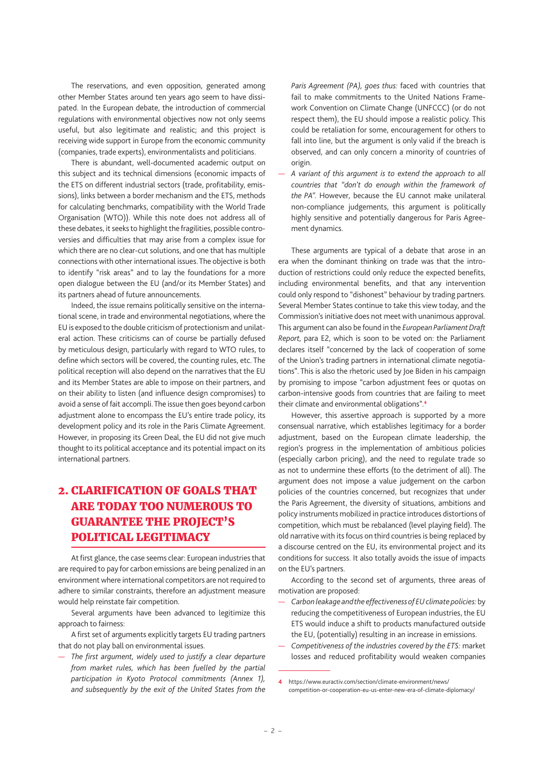The reservations, and even opposition, generated among other Member States around ten years ago seem to have dissipated. In the European debate, the introduction of commercial regulations with environmental objectives now not only seems useful, but also legitimate and realistic; and this project is receiving wide support in Europe from the economic community (companies, trade experts), environmentalists and politicians.

There is abundant, well-documented academic output on this subject and its technical dimensions (economic impacts of the ETS on different industrial sectors (trade, profitability, emissions), links between a border mechanism and the ETS, methods for calculating benchmarks, compatibility with the World Trade Organisation (WTO)). While this note does not address all of these debates, it seeks to highlight the fragilities, possible controversies and difficulties that may arise from a complex issue for which there are no clear-cut solutions, and one that has multiple connections with other international issues. The objective is both to identify "risk areas" and to lay the foundations for a more open dialogue between the EU (and/or its Member States) and its partners ahead of future announcements.

Indeed, the issue remains politically sensitive on the international scene, in trade and environmental negotiations, where the EU is exposed to the double criticism of protectionism and unilateral action. These criticisms can of course be partially defused by meticulous design, particularly with regard to WTO rules, to define which sectors will be covered, the counting rules, etc. The political reception will also depend on the narratives that the EU and its Member States are able to impose on their partners, and on their ability to listen (and influence design compromises) to avoid a sense of fait accompli. The issue then goes beyond carbon adjustment alone to encompass the EU's entire trade policy, its development policy and its role in the Paris Climate Agreement. However, in proposing its Green Deal, the EU did not give much thought to its political acceptance and its potential impact on its international partners.

## 2. CLARIFICATION OF GOALS THAT ARE TODAY TOO NUMEROUS TO GUARANTEE THE PROJECT'S POLITICAL LEGITIMACY

At first glance, the case seems clear: European industries that are required to pay for carbon emissions are being penalized in an environment where international competitors are not required to adhere to similar constraints, therefore an adjustment measure would help reinstate fair competition.

Several arguments have been advanced to legitimize this approach to fairness:

A first set of arguments explicitly targets EU trading partners that do not play ball on environmental issues.

— *The first argument, widely used to justify a clear departure from market rules, which has been fuelled by the partial participation in Kyoto Protocol commitments (Annex 1), and subsequently by the exit of the United States from the*  *Paris Agreement (PA), goes thus:* faced with countries that fail to make commitments to the United Nations Framework Convention on Climate Change (UNFCCC) (or do not respect them), the EU should impose a realistic policy. This could be retaliation for some, encouragement for others to fall into line, but the argument is only valid if the breach is observed, and can only concern a minority of countries of origin.

— *A variant of this argument is to extend the approach to all countries that "don't do enough within the framework of the PA".* However, because the EU cannot make unilateral non-compliance judgements, this argument is politically highly sensitive and potentially dangerous for Paris Agreement dynamics.

These arguments are typical of a debate that arose in an era when the dominant thinking on trade was that the introduction of restrictions could only reduce the expected benefits, including environmental benefits, and that any intervention could only respond to "dishonest" behaviour by trading partners. Several Member States continue to take this view today, and the Commission's initiative does not meet with unanimous approval. This argument can also be found in the *European Parliament Draft Report,* para E2, which is soon to be voted on: the Parliament declares itself "concerned by the lack of cooperation of some of the Union's trading partners in international climate negotiations". This is also the rhetoric used by Joe Biden in his campaign by promising to impose "carbon adjustment fees or quotas on carbon-intensive goods from countries that are failing to meet their climate and environmental obligations".**<sup>4</sup>**

However, this assertive approach is supported by a more consensual narrative, which establishes legitimacy for a border adjustment, based on the European climate leadership, the region's progress in the implementation of ambitious policies (especially carbon pricing), and the need to regulate trade so as not to undermine these efforts (to the detriment of all). The argument does not impose a value judgement on the carbon policies of the countries concerned, but recognizes that under the Paris Agreement, the diversity of situations, ambitions and policy instruments mobilized in practice introduces distortions of competition, which must be rebalanced (level playing field). The old narrative with its focus on third countries is being replaced by a discourse centred on the EU, its environmental project and its conditions for success. It also totally avoids the issue of impacts on the EU's partners.

According to the second set of arguments, three areas of motivation are proposed:

- *Carbon leakage and the effectiveness of EU climate policies:* by reducing the competitiveness of European industries, the EU ETS would induce a shift to products manufactured outside the EU, (potentially) resulting in an increase in emissions.
- *Competitiveness of the industries covered by the ETS:* market losses and reduced profitability would weaken companies

**<sup>4</sup>** https://www.euractiv.com/section/climate-environment/news/ competition-or-cooperation-eu-us-enter-new-era-of-climate-diplomacy/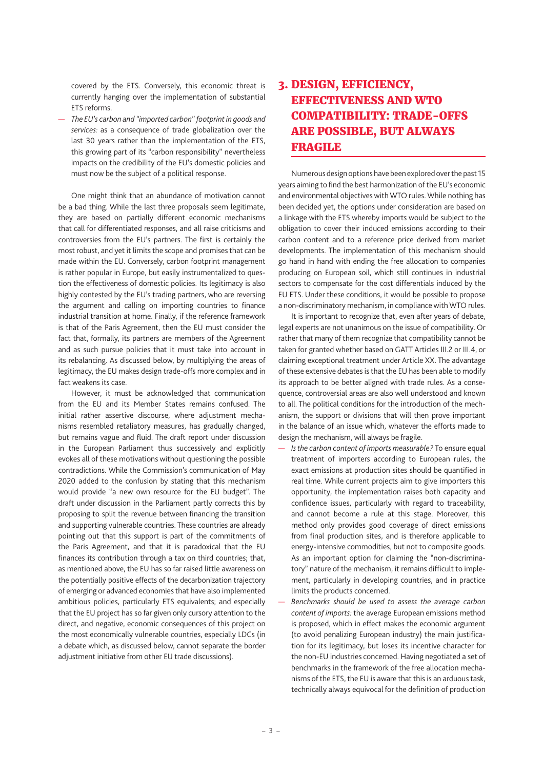covered by the ETS. Conversely, this economic threat is currently hanging over the implementation of substantial ETS reforms.

— *The EU's carbon and "imported carbon" footprint in goods and services:* as a consequence of trade globalization over the last 30 years rather than the implementation of the ETS, this growing part of its "carbon responsibility" nevertheless impacts on the credibility of the EU's domestic policies and must now be the subject of a political response.

One might think that an abundance of motivation cannot be a bad thing. While the last three proposals seem legitimate, they are based on partially different economic mechanisms that call for differentiated responses, and all raise criticisms and controversies from the EU's partners. The first is certainly the most robust, and yet it limits the scope and promises that can be made within the EU. Conversely, carbon footprint management is rather popular in Europe, but easily instrumentalized to question the effectiveness of domestic policies. Its legitimacy is also highly contested by the EU's trading partners, who are reversing the argument and calling on importing countries to finance industrial transition at home. Finally, if the reference framework is that of the Paris Agreement, then the EU must consider the fact that, formally, its partners are members of the Agreement and as such pursue policies that it must take into account in its rebalancing. As discussed below, by multiplying the areas of legitimacy, the EU makes design trade-offs more complex and in fact weakens its case.

However, it must be acknowledged that communication from the EU and its Member States remains confused. The initial rather assertive discourse, where adjustment mechanisms resembled retaliatory measures, has gradually changed, but remains vague and fluid. The draft report under discussion in the European Parliament thus successively and explicitly evokes all of these motivations without questioning the possible contradictions. While the Commission's communication of May 2020 added to the confusion by stating that this mechanism would provide "a new own resource for the EU budget". The draft under discussion in the Parliament partly corrects this by proposing to split the revenue between financing the transition and supporting vulnerable countries. These countries are already pointing out that this support is part of the commitments of the Paris Agreement, and that it is paradoxical that the EU finances its contribution through a tax on third countries; that, as mentioned above, the EU has so far raised little awareness on the potentially positive effects of the decarbonization trajectory of emerging or advanced economies that have also implemented ambitious policies, particularly ETS equivalents; and especially that the EU project has so far given only cursory attention to the direct, and negative, economic consequences of this project on the most economically vulnerable countries, especially LDCs (in a debate which, as discussed below, cannot separate the border adjustment initiative from other EU trade discussions).

## 3. DESIGN, EFFICIENCY, EFFECTIVENESS AND WTO COMPATIBILITY: TRADE-OFFS ARE POSSIBLE, BUT ALWAYS FRAGILE

Numerous design options have been explored over the past 15 years aiming to find the best harmonization of the EU's economic and environmental objectives with WTO rules. While nothing has been decided yet, the options under consideration are based on a linkage with the ETS whereby imports would be subject to the obligation to cover their induced emissions according to their carbon content and to a reference price derived from market developments. The implementation of this mechanism should go hand in hand with ending the free allocation to companies producing on European soil, which still continues in industrial sectors to compensate for the cost differentials induced by the EU ETS. Under these conditions, it would be possible to propose a non-discriminatory mechanism, in compliance with WTO rules.

It is important to recognize that, even after years of debate, legal experts are not unanimous on the issue of compatibility. Or rather that many of them recognize that compatibility cannot be taken for granted whether based on GATT Articles III.2 or III.4, or claiming exceptional treatment under Article XX. The advantage of these extensive debates is that the EU has been able to modify its approach to be better aligned with trade rules. As a consequence, controversial areas are also well understood and known to all. The political conditions for the introduction of the mechanism, the support or divisions that will then prove important in the balance of an issue which, whatever the efforts made to design the mechanism, will always be fragile.

- *Is the carbon content of imports measurable?* To ensure equal treatment of importers according to European rules, the exact emissions at production sites should be quantified in real time. While current projects aim to give importers this opportunity, the implementation raises both capacity and confidence issues, particularly with regard to traceability, and cannot become a rule at this stage. Moreover, this method only provides good coverage of direct emissions from final production sites, and is therefore applicable to energy-intensive commodities, but not to composite goods. As an important option for claiming the "non-discriminatory" nature of the mechanism, it remains difficult to implement, particularly in developing countries, and in practice limits the products concerned.
- *Benchmarks should be used to assess the average carbon content of imports:* the average European emissions method is proposed, which in effect makes the economic argument (to avoid penalizing European industry) the main justification for its legitimacy, but loses its incentive character for the non-EU industries concerned. Having negotiated a set of benchmarks in the framework of the free allocation mechanisms of the ETS, the EU is aware that this is an arduous task, technically always equivocal for the definition of production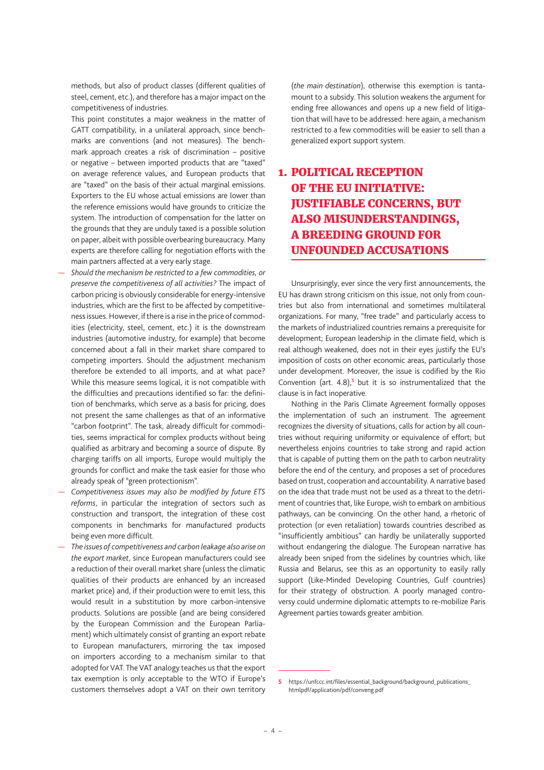methods, but also of product classes (different qualities of steel, cement, etc.), and therefore has a major impact on the competitiveness of industries.

This point constitutes a major weakness in the matter of GATT compatibility, in a unilateral approach, since benchmarks are conventions (and not measures). The benchmark approach creates a risk of discrimination – positive or negative – between imported products that are "taxed" on average reference values, and European products that are "taxed" on the basis of their actual marginal emissions. Exporters to the EU whose actual emissions are lower than the reference emissions would have grounds to criticize the system. The introduction of compensation for the latter on the grounds that they are unduly taxed is a possible solution on paper, albeit with possible overbearing bureaucracy. Many experts are therefore calling for negotiation efforts with the main partners affected at a very early stage.

- *Should the mechanism be restricted to a few commodities, or preserve the competitiveness of all activities?* The impact of carbon pricing is obviously considerable for energy-intensive industries, which are the first to be affected by competitiveness issues. However, if there is a rise in the price of commodities (electricity, steel, cement, etc.) it is the downstream industries (automotive industry, for example) that become concerned about a fall in their market share compared to competing importers. Should the adjustment mechanism therefore be extended to all imports, and at what pace? While this measure seems logical, it is not compatible with the difficulties and precautions identified so far: the definition of benchmarks, which serve as a basis for pricing, does not present the same challenges as that of an informative "carbon footprint". The task, already difficult for commodities, seems impractical for complex products without being qualified as arbitrary and becoming a source of dispute. By charging tariffs on all imports, Europe would multiply the grounds for conflict and make the task easier for those who already speak of "green protectionism".
- *Competitiveness issues may also be modified by future ETS reforms*, in particular the integration of sectors such as construction and transport, the integration of these cost components in benchmarks for manufactured products being even more difficult.

— *The issues of competitiveness and carbon leakage also arise on the export market*, since European manufacturers could see a reduction of their overall market share (unless the climatic qualities of their products are enhanced by an increased market price) and, if their production were to emit less, this would result in a substitution by more carbon-intensive products. Solutions are possible (and are being considered by the European Commission and the European Parliament) which ultimately consist of granting an export rebate to European manufacturers, mirroring the tax imposed on importers according to a mechanism similar to that adopted for VAT. The VAT analogy teaches us that the export tax exemption is only acceptable to the WTO if Europe's customers themselves adopt a VAT on their own territory (*the main destination*), otherwise this exemption is tantamount to a subsidy. This solution weakens the argument for ending free allowances and opens up a new field of litigation that will have to be addressed: here again, a mechanism restricted to a few commodities will be easier to sell than a generalized export support system.

## 1. POLITICAL RECEPTION OF THE EU INITIATIVE: JUSTIFIABLE CONCERNS, BUT ALSO MISUNDERSTANDINGS, A BREEDING GROUND FOR UNFOUNDED ACCUSATIONS

Unsurprisingly, ever since the very first announcements, the EU has drawn strong criticism on this issue, not only from countries but also from international and sometimes multilateral organizations. For many, "free trade" and particularly access to the markets of industrialized countries remains a prerequisite for development; European leadership in the climate field, which is real although weakened, does not in their eyes justify the EU's imposition of costs on other economic areas, particularly those under development. Moreover, the issue is codified by the Rio Convention (art. 4.8),**<sup>5</sup>** but it is so instrumentalized that the clause is in fact inoperative.

Nothing in the Paris Climate Agreement formally opposes the implementation of such an instrument. The agreement recognizes the diversity of situations, calls for action by all countries without requiring uniformity or equivalence of effort; but nevertheless enjoins countries to take strong and rapid action that is capable of putting them on the path to carbon neutrality before the end of the century, and proposes a set of procedures based on trust, cooperation and accountability. A narrative based on the idea that trade must not be used as a threat to the detriment of countries that, like Europe, wish to embark on ambitious pathways, can be convincing. On the other hand, a rhetoric of protection (or even retaliation) towards countries described as "insufficiently ambitious" can hardly be unilaterally supported without endangering the dialogue. The European narrative has already been sniped from the sidelines by countries which, like Russia and Belarus, see this as an opportunity to easily rally support (Like-Minded Developing Countries, Gulf countries) for their strategy of obstruction. A poorly managed controversy could undermine diplomatic attempts to re-mobilize Paris Agreement parties towards greater ambition.

**<sup>5</sup>** https://unfccc.int/files/essential\_background/background\_publications\_ htmlpdf/application/pdf/conveng.pdf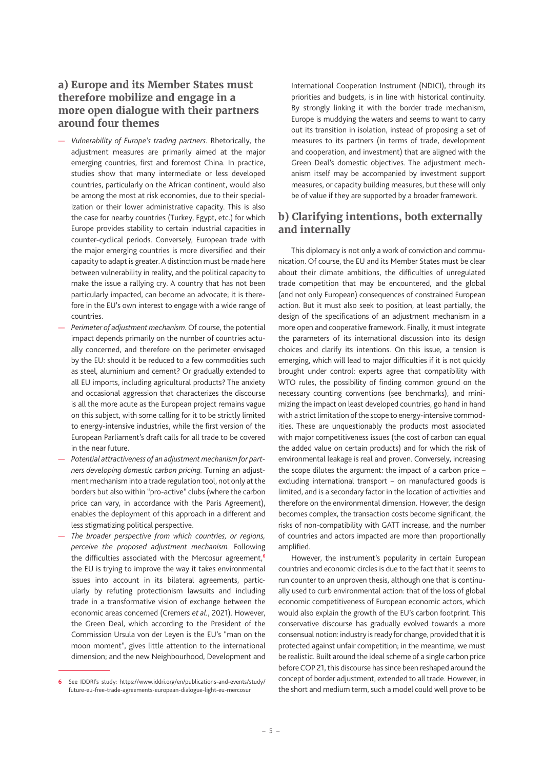### **a) Europe and its Member States must therefore mobilize and engage in a more open dialogue with their partners around four themes**

- *Vulnerability of Europe's trading partners.* Rhetorically, the adjustment measures are primarily aimed at the major emerging countries, first and foremost China. In practice, studies show that many intermediate or less developed countries, particularly on the African continent, would also be among the most at risk economies, due to their specialization or their lower administrative capacity. This is also the case for nearby countries (Turkey, Egypt, etc.) for which Europe provides stability to certain industrial capacities in counter-cyclical periods. Conversely, European trade with the major emerging countries is more diversified and their capacity to adapt is greater. A distinction must be made here between vulnerability in reality, and the political capacity to make the issue a rallying cry. A country that has not been particularly impacted, can become an advocate; it is therefore in the EU's own interest to engage with a wide range of countries.
- *Perimeter of adjustment mechanism.* Of course, the potential impact depends primarily on the number of countries actually concerned, and therefore on the perimeter envisaged by the EU: should it be reduced to a few commodities such as steel, aluminium and cement? Or gradually extended to all EU imports, including agricultural products? The anxiety and occasional aggression that characterizes the discourse is all the more acute as the European project remains vague on this subject, with some calling for it to be strictly limited to energy-intensive industries, while the first version of the European Parliament's draft calls for all trade to be covered in the near future.
- *Potential attractiveness of an adjustment mechanism for partners developing domestic carbon pricing.* Turning an adjustment mechanism into a trade regulation tool, not only at the borders but also within "pro-active" clubs (where the carbon price can vary, in accordance with the Paris Agreement), enables the deployment of this approach in a different and less stigmatizing political perspective.
- *The broader perspective from which countries, or regions, perceive the proposed adjustment mechanism.* Following the difficulties associated with the Mercosur agreement,**<sup>6</sup>** the EU is trying to improve the way it takes environmental issues into account in its bilateral agreements, particularly by refuting protectionism lawsuits and including trade in a transformative vision of exchange between the economic areas concerned (Cremers *et al.*, 2021). However, the Green Deal, which according to the President of the Commission Ursula von der Leyen is the EU's "man on the moon moment", gives little attention to the international dimension; and the new Neighbourhood, Development and

International Cooperation Instrument (NDICI), through its priorities and budgets, is in line with historical continuity. By strongly linking it with the border trade mechanism, Europe is muddying the waters and seems to want to carry out its transition in isolation, instead of proposing a set of measures to its partners (in terms of trade, development and cooperation, and investment) that are aligned with the Green Deal's domestic objectives. The adjustment mechanism itself may be accompanied by investment support measures, or capacity building measures, but these will only be of value if they are supported by a broader framework.

### **b) Clarifying intentions, both externally and internally**

This diplomacy is not only a work of conviction and communication. Of course, the EU and its Member States must be clear about their climate ambitions, the difficulties of unregulated trade competition that may be encountered, and the global (and not only European) consequences of constrained European action. But it must also seek to position, at least partially, the design of the specifications of an adjustment mechanism in a more open and cooperative framework. Finally, it must integrate the parameters of its international discussion into its design choices and clarify its intentions. On this issue, a tension is emerging, which will lead to major difficulties if it is not quickly brought under control: experts agree that compatibility with WTO rules, the possibility of finding common ground on the necessary counting conventions (see benchmarks), and minimizing the impact on least developed countries, go hand in hand with a strict limitation of the scope to energy-intensive commodities. These are unquestionably the products most associated with major competitiveness issues (the cost of carbon can equal the added value on certain products) and for which the risk of environmental leakage is real and proven. Conversely, increasing the scope dilutes the argument: the impact of a carbon price – excluding international transport – on manufactured goods is limited, and is a secondary factor in the location of activities and therefore on the environmental dimension. However, the design becomes complex, the transaction costs become significant, the risks of non-compatibility with GATT increase, and the number of countries and actors impacted are more than proportionally amplified.

However, the instrument's popularity in certain European countries and economic circles is due to the fact that it seems to run counter to an unproven thesis, although one that is continually used to curb environmental action: that of the loss of global economic competitiveness of European economic actors, which would also explain the growth of the EU's carbon footprint. This conservative discourse has gradually evolved towards a more consensual notion: industry is ready for change, provided that it is protected against unfair competition; in the meantime, we must be realistic. Built around the ideal scheme of a single carbon price before COP 21, this discourse has since been reshaped around the concept of border adjustment, extended to all trade. However, in the short and medium term, such a model could well prove to be

**<sup>6</sup>** See IDDRI's study: https://www.iddri.org/en/publications-and-events/study/ future-eu-free-trade-agreements-european-dialogue-light-eu-mercosur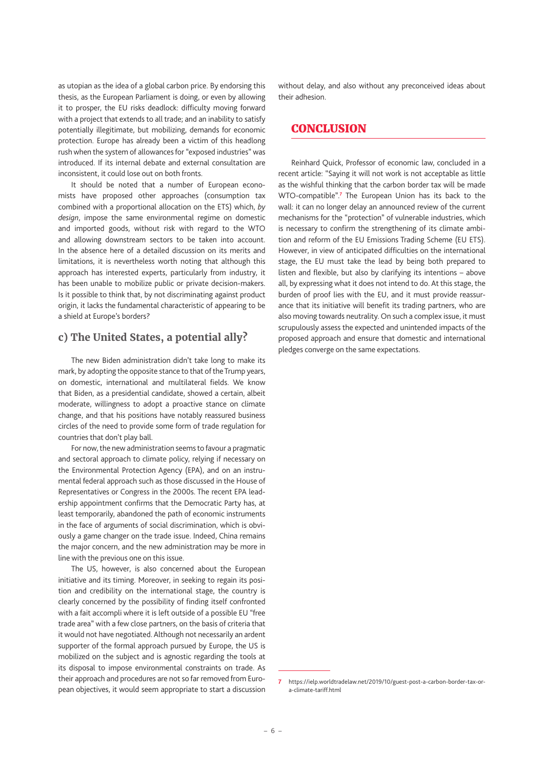as utopian as the idea of a global carbon price. By endorsing this thesis, as the European Parliament is doing, or even by allowing it to prosper, the EU risks deadlock: difficulty moving forward with a project that extends to all trade; and an inability to satisfy potentially illegitimate, but mobilizing, demands for economic protection. Europe has already been a victim of this headlong rush when the system of allowances for "exposed industries" was introduced. If its internal debate and external consultation are inconsistent, it could lose out on both fronts.

It should be noted that a number of European economists have proposed other approaches (consumption tax combined with a proportional allocation on the ETS) which, *by design*, impose the same environmental regime on domestic and imported goods, without risk with regard to the WTO and allowing downstream sectors to be taken into account. In the absence here of a detailed discussion on its merits and limitations, it is nevertheless worth noting that although this approach has interested experts, particularly from industry, it has been unable to mobilize public or private decision-makers. Is it possible to think that, by not discriminating against product origin, it lacks the fundamental characteristic of appearing to be a shield at Europe's borders?

### **c) The United States, a potential ally?**

The new Biden administration didn't take long to make its mark, by adopting the opposite stance to that of the Trump years, on domestic, international and multilateral fields. We know that Biden, as a presidential candidate, showed a certain, albeit moderate, willingness to adopt a proactive stance on climate change, and that his positions have notably reassured business circles of the need to provide some form of trade regulation for countries that don't play ball.

For now, the new administration seems to favour a pragmatic and sectoral approach to climate policy, relying if necessary on the Environmental Protection Agency (EPA), and on an instrumental federal approach such as those discussed in the House of Representatives or Congress in the 2000s. The recent EPA leadership appointment confirms that the Democratic Party has, at least temporarily, abandoned the path of economic instruments in the face of arguments of social discrimination, which is obviously a game changer on the trade issue. Indeed, China remains the major concern, and the new administration may be more in line with the previous one on this issue.

The US, however, is also concerned about the European initiative and its timing. Moreover, in seeking to regain its position and credibility on the international stage, the country is clearly concerned by the possibility of finding itself confronted with a fait accompli where it is left outside of a possible EU "free trade area" with a few close partners, on the basis of criteria that it would not have negotiated. Although not necessarily an ardent supporter of the formal approach pursued by Europe, the US is mobilized on the subject and is agnostic regarding the tools at its disposal to impose environmental constraints on trade. As their approach and procedures are not so far removed from European objectives, it would seem appropriate to start a discussion without delay, and also without any preconceived ideas about their adhesion.

### **CONCLUSION**

Reinhard Quick, Professor of economic law, concluded in a recent article: "Saying it will not work is not acceptable as little as the wishful thinking that the carbon border tax will be made WTO-compatible".**<sup>7</sup>** The European Union has its back to the wall: it can no longer delay an announced review of the current mechanisms for the "protection" of vulnerable industries, which is necessary to confirm the strengthening of its climate ambition and reform of the EU Emissions Trading Scheme (EU ETS). However, in view of anticipated difficulties on the international stage, the EU must take the lead by being both prepared to listen and flexible, but also by clarifying its intentions – above all, by expressing what it does not intend to do. At this stage, the burden of proof lies with the EU, and it must provide reassurance that its initiative will benefit its trading partners, who are also moving towards neutrality. On such a complex issue, it must scrupulously assess the expected and unintended impacts of the proposed approach and ensure that domestic and international pledges converge on the same expectations.

**<sup>7</sup>** https://ielp.worldtradelaw.net/2019/10/guest-post-a-carbon-border-tax-ora-climate-tariff.html